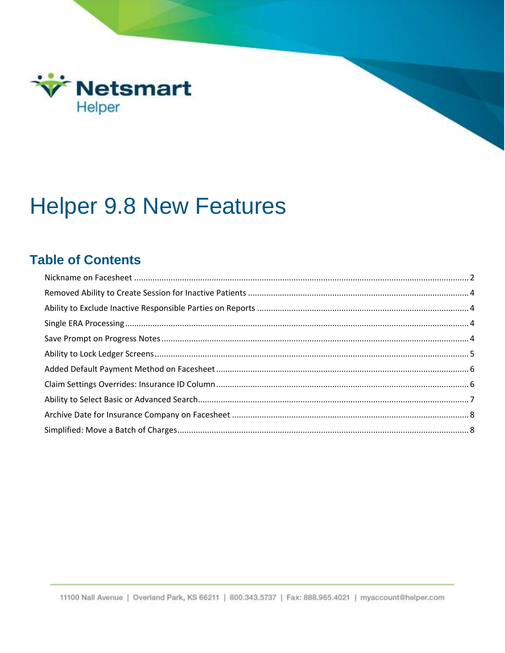

# **Helper 9.8 New Features**

## **Table of Contents**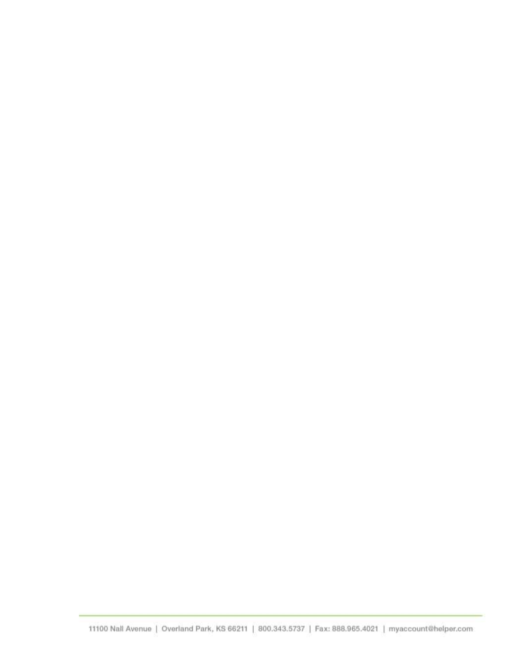11100 Nall Avenue | Overland Park, KS 66211 | 800.343.5737 | Fax: 888.965.4021 | myaccount@helper.com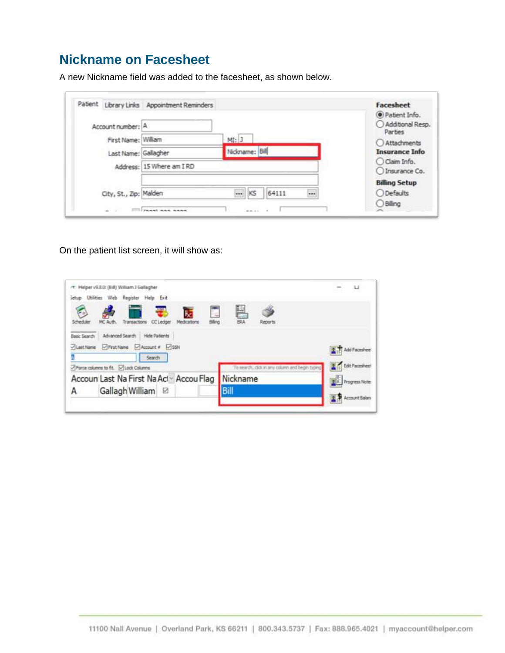# <span id="page-2-0"></span>**Nickname on Facesheet**

A new Nickname field was added to the facesheet, as shown below.

| Account number: A<br>First Name: William | Patient Library Links Appointment Reminders | M:3                     | Facesheet<br>Patient Info.<br>○ Additional Resp.<br>Parties |
|------------------------------------------|---------------------------------------------|-------------------------|-------------------------------------------------------------|
| Last Name: Gallagher                     |                                             | Nickname: Bill          | Attachments<br><b>Insurance Info</b>                        |
|                                          | Address: 15 Where am I RD                   |                         | C Claim Info.<br>O Insurance Co.                            |
| City, St., Zip: Malden                   |                                             | 64111<br>KS<br>$\cdots$ | <b>Billing Setup</b><br>O Defaults                          |
| $-1$                                     | $1111$ <i>Innel</i> and anne                | $-$                     | ○ Billing                                                   |

On the patient list screen, it will show as:

| Helper (9.8.0: (Bill) William J Gallagher<br>Web Register<br>Exit<br>Help<br>ities.      |                                                 |                |
|------------------------------------------------------------------------------------------|-------------------------------------------------|----------------|
| Q<br>M<br>$\sim$                                                                         | 듿                                               |                |
| CC Ledger<br>Transactions<br>Billing<br>Advanced Search<br>Hide Patients<br>Basic Search | BA<br>Rennet                                    |                |
| First Name Account # 55N<br>Lest Name<br>Search                                          |                                                 | Add Facesher   |
| Force columns to fit. Vitadx Columns                                                     | To search, click in any column and begin typing | Edit Facesheet |
| Accoun Last Na First Na Act Accou Flag                                                   | Nickname                                        | Progress Note  |
| Gallagh William<br>⊠<br>А                                                                | Bil                                             |                |
|                                                                                          |                                                 | Account Balan  |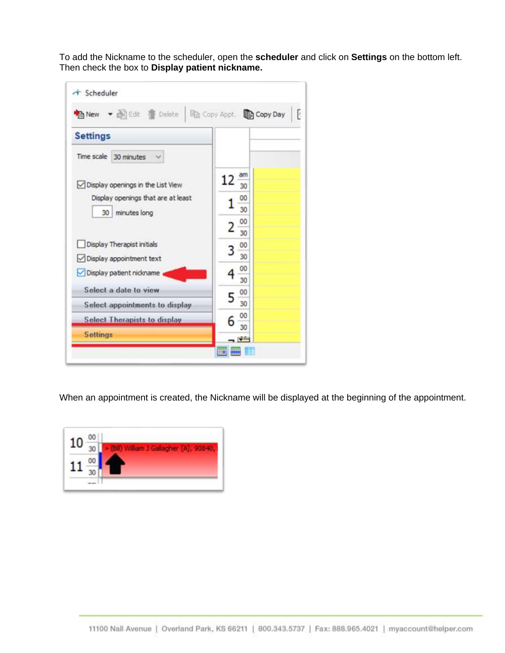To add the Nickname to the scheduler, open the **scheduler** and click on **Settings** on the bottom left. Then check the box to **Display patient nickname.**

| <b>Settings</b>                       |          |
|---------------------------------------|----------|
|                                       |          |
| Time scale 30 minutes<br>$\checkmark$ |          |
|                                       | am<br>12 |
| Oisplay openings in the List View     | 30       |
| Display openings that are at least    | 00<br>30 |
| 30 minutes long                       | 00       |
|                                       | 2<br>30  |
| Display Therapist initials            | 00       |
| Display appointment text              | 30       |
| Display patient nickname              | 00       |
|                                       | 30       |
| Select a date to view                 | 00<br>5. |
| Select appointments to display        | 30       |
| <b>Select Therapists to display</b>   | OO       |
| <b>Settings</b>                       | 30       |

When an appointment is created, the Nickname will be displayed at the beginning of the appointment.

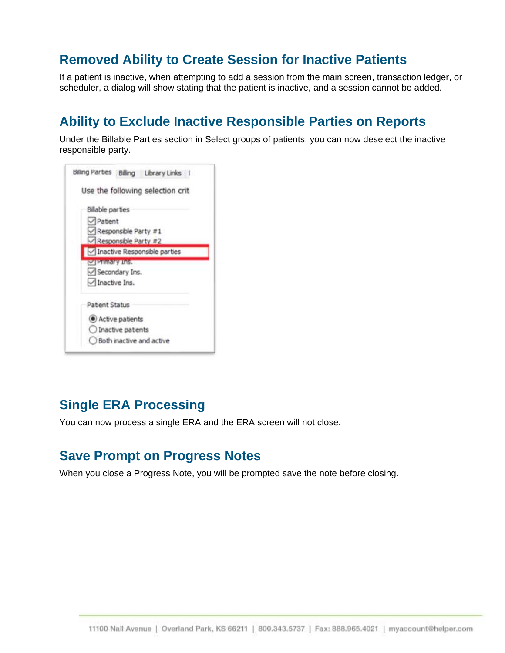## <span id="page-4-0"></span>**Removed Ability to Create Session for Inactive Patients**

If a patient is inactive, when attempting to add a session from the main screen, transaction ledger, or scheduler, a dialog will show stating that the patient is inactive, and a session cannot be added.

#### <span id="page-4-1"></span>**Ability to Exclude Inactive Responsible Parties on Reports**

Under the Billable Parties section in Select groups of patients, you can now deselect the inactive responsible party.

|                                                                                  | Billing Parties Billing Library Links 1 |  |
|----------------------------------------------------------------------------------|-----------------------------------------|--|
|                                                                                  | Use the following selection crit        |  |
| Billable parties                                                                 |                                         |  |
| Patient<br>$\sqrt{\text{Response}}$ Responsible Party #1<br>Responsible Party #2 |                                         |  |
|                                                                                  | Inactive Responsible parties            |  |
| <b>Septemary Ins.</b><br>Secondary Ins.<br>√ Inactive Ins.                       |                                         |  |
| Patient Status                                                                   |                                         |  |
| Active patients                                                                  |                                         |  |
| O Inactive patients                                                              |                                         |  |
|                                                                                  | Both inactive and active                |  |

#### <span id="page-4-2"></span>**Single ERA Processing**

You can now process a single ERA and the ERA screen will not close.

#### <span id="page-4-3"></span>**Save Prompt on Progress Notes**

When you close a Progress Note, you will be prompted save the note before closing.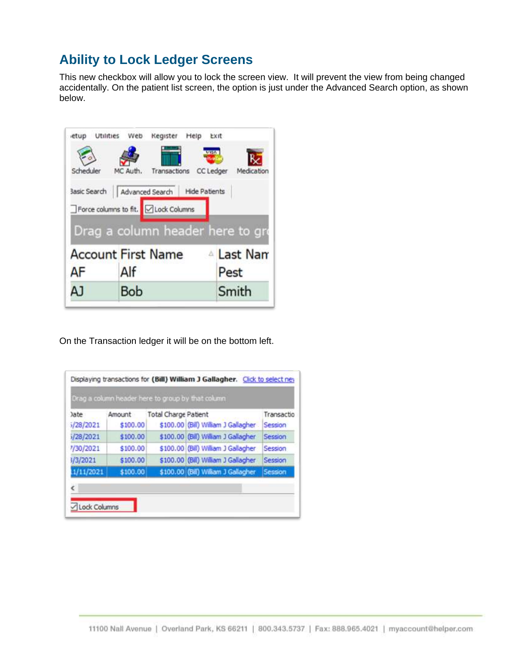# <span id="page-5-0"></span>**Ability to Lock Ledger Screens**

This new checkbox will allow you to lock the screen view. It will prevent the view from being changed accidentally. On the patient list screen, the option is just under the Advanced Search option, as shown below.

| Scheduler | etup Utilities Web Kegister Help Exit                                                                                        | MC Auth. Transactions | VISA | CC Ledger Medication |
|-----------|------------------------------------------------------------------------------------------------------------------------------|-----------------------|------|----------------------|
|           | Basic Search   Advanced Search   Hide Patients<br>Force columns to fit.   C Lock Columns<br>Drag a column header here to gre |                       |      |                      |
| AF        | <b>Account First Name</b><br>Alf                                                                                             |                       | Pest | △ Last Nam           |
| A J       | <b>Bob</b>                                                                                                                   |                       |      | Smith                |

On the Transaction ledger it will be on the bottom left.

|                   | Drag a column header here to group by that column |                             |                                     |                       |
|-------------------|---------------------------------------------------|-----------------------------|-------------------------------------|-----------------------|
| late<br>5/28/2021 | Amount<br>\$100.00                                | <b>Total Charge Patient</b> | \$100.00 (Bill) William J Gallagher | Transactio<br>Session |
| 1/28/2021         | \$100.00                                          |                             | \$100.00 (Bill) William J Gallagher | Session               |
| 7/30/2021         | \$100.00                                          |                             | \$100.00 (Bill) William J Gallagher | Session               |
| 1/3/2021          | \$100.00                                          |                             | \$100.00 (Bill) William J Gallagher | Session               |
| 1/11/2021         | \$100.00                                          |                             | \$100.00 (Bill) William J Gallagher | <b>Session</b>        |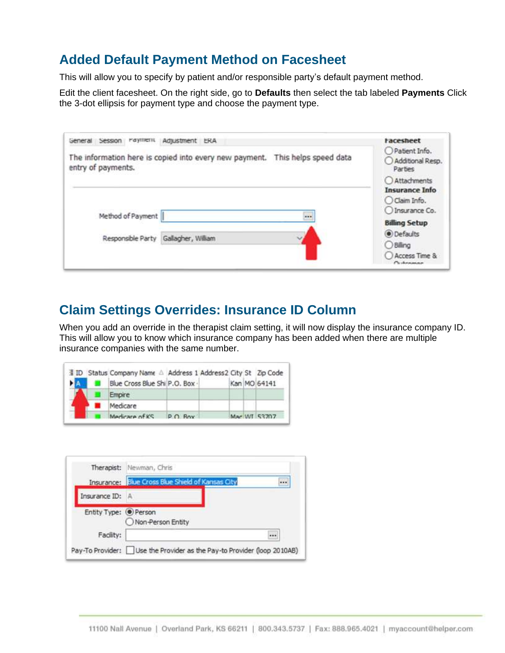## <span id="page-6-0"></span>**Added Default Payment Method on Facesheet**

This will allow you to specify by patient and/or responsible party's default payment method.

Edit the client facesheet. On the right side, go to **Defaults** then select the tab labeled **Payments** Click the 3-dot ellipsis for payment type and choose the payment type.

| <b>Payment</b><br>General Session | Adjustment ERA                                                                  | <b>Facesheet</b>                                  |
|-----------------------------------|---------------------------------------------------------------------------------|---------------------------------------------------|
| entry of payments.                | This helps speed data<br>The information here is copied into every new payment. | Patient Info.<br>Additional Resp.<br>Parties      |
|                                   |                                                                                 | C Attachments                                     |
|                                   |                                                                                 | <b>Insurance Info</b><br>C Claim Info.            |
|                                   |                                                                                 | O Insurance Co.                                   |
| Method of Payment                 |                                                                                 | <b>Billing Setup</b>                              |
| Responsible Party                 | Gallagher, William                                                              | <b>O</b> Defaults                                 |
|                                   |                                                                                 | O Billing<br>Access Time &<br><b>Continued by</b> |

#### <span id="page-6-1"></span>**Claim Settings Overrides: Insurance ID Column**

When you add an override in the therapist claim setting, it will now display the insurance company ID. This will allow you to know which insurance company has been added when there are multiple insurance companies with the same number.

|  | ID Status Company Name A Address 1 Address 2 City St Zip Code |                 |  |              |
|--|---------------------------------------------------------------|-----------------|--|--------------|
|  | Blue Cross Blue Shi P.O. Box -                                |                 |  | Kan MO 64141 |
|  | <b>Empire</b>                                                 |                 |  |              |
|  | Medicare                                                      |                 |  |              |
|  | Medicare of KS                                                | <b>P.O. Roy</b> |  |              |

|                       | Therapist: Newman, Chris                                               |  |
|-----------------------|------------------------------------------------------------------------|--|
|                       | <b>Insurance: Blue Cross Blue Shield of Kansas City</b>                |  |
| Insurance ID: A       |                                                                        |  |
| Entity Type: @ Person | O Non-Person Entity                                                    |  |
| Facility:             |                                                                        |  |
|                       | Pay-To Provider: Use the Provider as the Pay-to Provider (loop 2010AB) |  |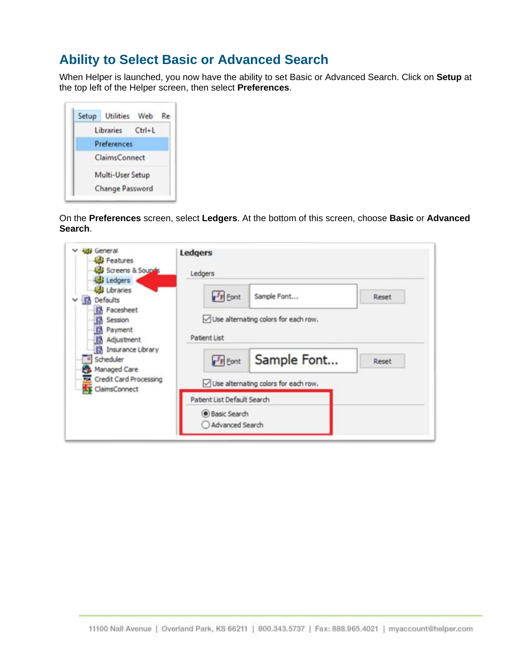# <span id="page-7-0"></span>**Ability to Select Basic or Advanced Search**

When Helper is launched, you now have the ability to set Basic or Advanced Search. Click on **Setup** at the top left of the Helper screen, then select **Preferences**.



On the **Preferences** screen, select **Ledgers**. At the bottom of this screen, choose **Basic** or **Advanced Search**.

| v ku General<br><b>GB</b> Features<br>Screens & Sounds<br>di Ledgers      | Ledgers<br>Ledgers                |                                      |       |
|---------------------------------------------------------------------------|-----------------------------------|--------------------------------------|-------|
| <b>B</b> Libraries<br>$\vee$ $\frac{m}{10}$ Defaults                      | $f$ Font                          | Sample Font                          | Reset |
| <b>码 Facesheet</b><br><b>In</b> Session<br><b>R</b> Payment<br>Adjustment | Patient List                      | Use alternating colors for each row. |       |
| B Insurance Library<br>Scheduler<br>Managed Care                          | $F$ Eont                          | Sample Font                          | Reset |
| <b>KM</b> Credit Card Processing<br>ClaimsConnect                         |                                   | Use alternating colors for each row. |       |
|                                                                           | Patient List Default Search       |                                      |       |
|                                                                           | · Basic Search<br>Advanced Search |                                      |       |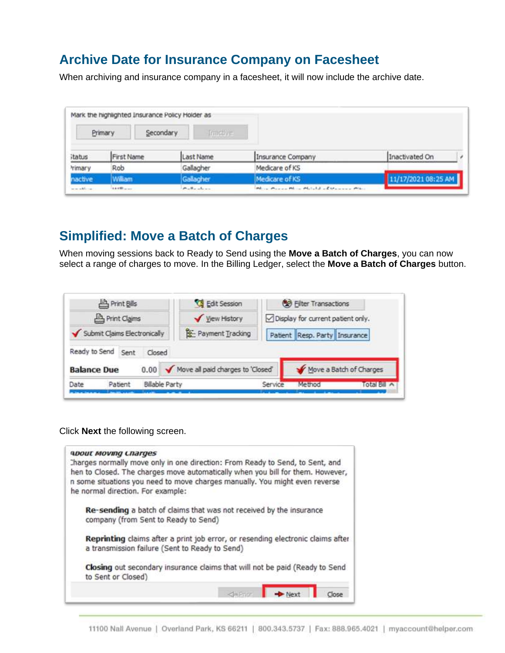# <span id="page-8-0"></span>**Archive Date for Insurance Company on Facesheet**

When archiving and insurance company in a facesheet, it will now include the archive date.

|                             | Primary        | Secondary | Imclve.   |                   |                     |
|-----------------------------|----------------|-----------|-----------|-------------------|---------------------|
|                             |                |           |           |                   |                     |
| itatus                      | First Name     |           | Last Name | Insurance Company | Inactivated On      |
|                             |                |           |           |                   |                     |
| <b><i><u>rimary</u></i></b> | Rob            | Gallagher |           | Medicare of KS    |                     |
| nactive                     | <b>William</b> |           | Gallagher | Medicare of KS    | 11/17/2021 08:25 AM |

## <span id="page-8-1"></span>**Simplified: Move a Batch of Charges**

When moving sessions back to Ready to Send using the **Move a Batch of Charges**, you can now select a range of charges to move. In the Billing Ledger, select the **Move a Batch of Charges** button.

| <b>凸 Print Bills</b>            | <b>Q</b> Edit Session                  | <sup>(12)</sup> Eilter Transactions |
|---------------------------------|----------------------------------------|-------------------------------------|
| Print Claims                    | View History                           | ○ Display for current patient only. |
| Submit Claims Electronically    | <b>E.</b> Payment Tracking             | Patient Resp. Party Insurance       |
| Ready to Send<br>Sent<br>Closed |                                        |                                     |
| <b>Balance Due</b>              | 0.00 Move all paid charges to 'Closed' | Move a Batch of Charges             |
|                                 |                                        |                                     |

Click **Next** the following screen.